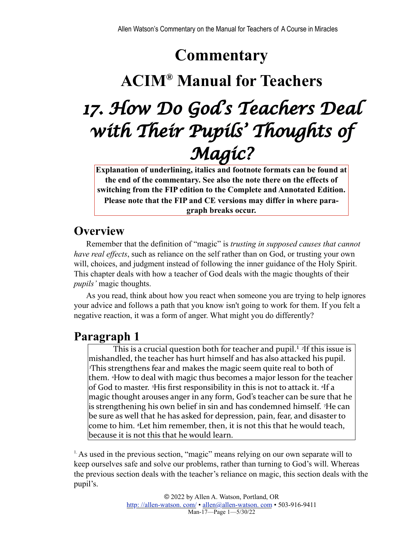# **Commentary**

## **ACIM® Manual for Teachers**

# *17. How Do God's Teachers Deal with Their Pupils' Thoughts of Magic?*

**Explanation of underlining, italics and footnote formats can be found at the end of the commentary. See also the note there on the effects of switching from the FIP edition to the Complete and Annotated Edition. Please note that the FIP and CE versions may differ in where paragraph breaks occur.**

#### **Overview**

Remember that the definition of "magic" is *trusting in supposed causes that cannot have real effects*, such as reliance on the self rather than on God, or trusting your own will, choices, and judgment instead of following the inner guidance of the Holy Spirit. This chapter deals with how a teacher of God deals with the magic thoughts of their *pupils'* magic thoughts.

As you read, think about how you react when someone you are trying to help ignores your advice and follows a path that you know isn't going to work for them. If you felt a negative reaction, it was a form of anger. What might you do differently?

#### <span id="page-0-1"></span>**Paragraph 1**

This is a crucial question both for teacher and pupil.<sup>1</sup> <sup>2</sup>If this issue is mishandled, the teacher has hurt himself and has also attacked his pupil. *Phis strengthens fear and makes the magic seem quite real to both of* them. <sup>4</sup>How to deal with magic thus becomes a major lesson for the teacher of God to master. <sup>5</sup>His first responsibility in this is not to attack it. <sup>6</sup>If a magic thought arouses anger in any form, God's teacher can be sure that he is strengthening his own belief in sin and has condemned himself. <sup>7</sup>He can be sure as well that he has asked for depression, pain, fear, and disaster to come to him. <sup>*s*</sup>Let him remember, then, it is not this that he would teach, because it is not this that he would learn.

<span id="page-0-0"></span><sup>[1.](#page-0-1)</sup> As used in the previous section, "magic" means relying on our own separate will to keep ourselves safe and solve our problems, rather than turning to God's will. Whereas the previous section deals with the teacher's reliance on magic, this section deals with the pupil's.

> © 2022 by Allen A. Watson, Portland, OR [http: //allen-watson. com/](http://homepage.mac.com/allen_a_watson/ACIM_Workbook_Groups/) • [allen@allen-watson. com](mailto:allen@unityportland.org) • 503-916-9411 Man-17—Page 1—5/30/22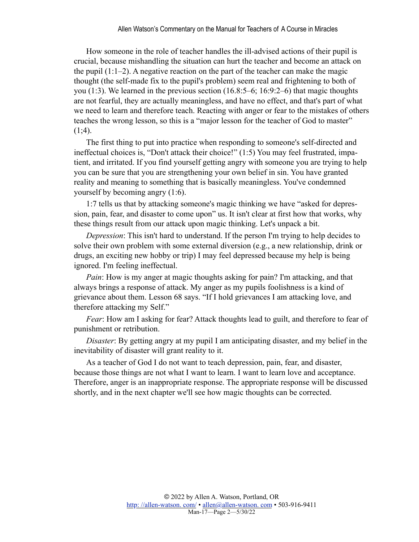How someone in the role of teacher handles the ill-advised actions of their pupil is crucial, because mishandling the situation can hurt the teacher and become an attack on the pupil  $(1:1-2)$ . A negative reaction on the part of the teacher can make the magic thought (the self-made fix to the pupil's problem) seem real and frightening to both of you (1:3). We learned in the previous section (16.8:5–6; 16:9:2–6) that magic thoughts are not fearful, they are actually meaningless, and have no effect, and that's part of what we need to learn and therefore teach. Reacting with anger or fear to the mistakes of others teaches the wrong lesson, so this is a "major lesson for the teacher of God to master"  $(1;4)$ .

The first thing to put into practice when responding to someone's self-directed and ineffectual choices is, "Don't attack their choice!" (1:5) You may feel frustrated, impatient, and irritated. If you find yourself getting angry with someone you are trying to help you can be sure that you are strengthening your own belief in sin. You have granted reality and meaning to something that is basically meaningless. You've condemned yourself by becoming angry (1:6).

1:7 tells us that by attacking someone's magic thinking we have "asked for depression, pain, fear, and disaster to come upon" us. It isn't clear at first how that works, why these things result from our attack upon magic thinking. Let's unpack a bit.

*Depression*: This isn't hard to understand. If the person I'm trying to help decides to solve their own problem with some external diversion (e.g., a new relationship, drink or drugs, an exciting new hobby or trip) I may feel depressed because my help is being ignored. I'm feeling ineffectual.

*Pain*: How is my anger at magic thoughts asking for pain? I'm attacking, and that always brings a response of attack. My anger as my pupils foolishness is a kind of grievance about them. Lesson 68 says. "If I hold grievances I am attacking love, and therefore attacking my Self."

*Fear*: How am I asking for fear? Attack thoughts lead to guilt, and therefore to fear of punishment or retribution.

*Disaster*: By getting angry at my pupil I am anticipating disaster, and my belief in the inevitability of disaster will grant reality to it.

As a teacher of God I do not want to teach depression, pain, fear, and disaster, because those things are not what I want to learn. I want to learn love and acceptance. Therefore, anger is an inappropriate response. The appropriate response will be discussed shortly, and in the next chapter we'll see how magic thoughts can be corrected.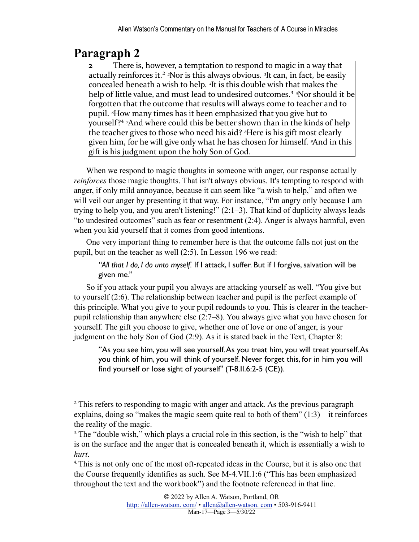## **Paragraph 2**

<span id="page-2-4"></span><span id="page-2-3"></span>**2** There is, however, a temptation to respond to magic in a way that actually reinforces it.<sup>2</sup> <sup>2</sup>Nor is this always obvious. <sup>3</sup>It can, in fact, be easily concealed beneath a wish to help. <sup>4</sup>It is this double wish that makes the help of little value, and must lead to undesired outcomes.<sup>3</sup> <sup>5</sup>Nor should it be forgotten that the outcome that results will always come to teacher and to pupil. <sup>*«How many times has it been emphasized that you give but to*</sup> yourself?<sup>4</sup> <sup>7</sup>And where could this be better shown than in the kinds of help the teacher gives to those who need his aid? <sup>*§*</sup>Here is his gift most clearly given him, for he will give only what he has chosen for himself. *<sup>9</sup>And* in this  $\left| \right|$  gift is his judgment upon the holy Son of God.

<span id="page-2-5"></span>When we respond to magic thoughts in someone with anger, our response actually *reinforces* those magic thoughts. That isn't always obvious. It's tempting to respond with anger, if only mild annoyance, because it can seem like "a wish to help," and often we will veil our anger by presenting it that way. For instance, "I'm angry only because I am trying to help you, and you aren't listening!" (2:1–3). That kind of duplicity always leads "to undesired outcomes" such as fear or resentment (2:4). Anger is always harmful, even when you kid yourself that it comes from good intentions.

One very important thing to remember here is that the outcome falls not just on the pupil, but on the teacher as well (2:5). In Lesson 196 we read:

*"All that I do, I do unto myself.* If I attack, I suffer. But if I forgive, salvation will be given me."

So if you attack your pupil you always are attacking yourself as well. "You give but to yourself (2:6). The relationship between teacher and pupil is the perfect example of this principle. What you give to your pupil redounds to you. This is clearer in the teacherpupil relationship than anywhere else (2:7–8). You always give what you have chosen for yourself. The gift you choose to give, whether one of love or one of anger, is your judgment on the holy Son of God (2:9). As it is stated back in the Text, Chapter 8:

"As you see him, you will see yourself. As you treat him, you will treat yourself. As you think of him, you will think of yourself. Never forget this, for in him you will find yourself or lose sight of yourself" (T-8.II.6:2-5 (CE)).

<span id="page-2-0"></span><sup>2</sup>. This refers to responding to magic with anger and attack. As the previous paragraph explains, doing so "makes the magic seem quite real to both of them" (1:3)—it reinforces the reality of the magic.

<span id="page-2-1"></span><sup>[3.](#page-2-4)</sup> The "double wish," which plays a crucial role in this section, is the "wish to help" that is on the surface and the anger that is concealed beneath it, which is essentially a wish to *hurt*.<br><sup>4</sup> This is not only one of the most oft-repeated ideas in the Course, but it is also one that

<span id="page-2-2"></span>the Course frequently identifies as such. See M-4.VII.1:6 ("This has been emphasized throughout the text and the workbook") and the footnote referenced in that line.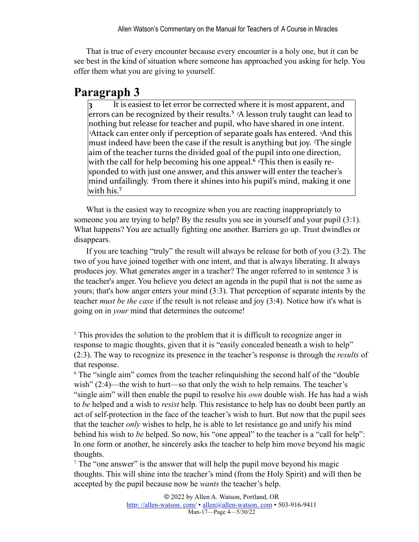That is true of every encounter because every encounter is a holy one, but it can be see best in the kind of situation where someone has approached you asking for help. You offer them what you are giving to yourself.

#### **Paragraph 3**

<span id="page-3-3"></span>**3** It is easiest to let error be corrected where it is most apparent, and errors can be recognized by their results.<sup>5</sup> <sup>2</sup>A lesson truly taught can lead to nothing but release for teacher and pupil, who have shared in one intent. *a*Attack can enter only if perception of separate goals has entered. *And* this must indeed have been the case if the result is anything but joy. <sup>*The single*</sup> aim of the teacher turns the divided goal of the pupil into one direction, with the call for help becoming his one appeal.<sup>6</sup> <sup>*«*This then is easily re-</sup> sponded to with just one answer, and this answer will enter the teacher's mind unfailingly. <sup>7</sup>From there it shines into his pupil's mind, making it one with his. $\rm ^7$ 

<span id="page-3-5"></span><span id="page-3-4"></span>What is the easiest way to recognize when you are reacting inappropriately to someone you are trying to help? By the results you see in yourself and your pupil (3:1). What happens? You are actually fighting one another. Barriers go up. Trust dwindles or disappears.

If you are teaching "truly" the result will always be release for both of you (3:2). The two of you have joined together with one intent, and that is always liberating. It always produces joy. What generates anger in a teacher? The anger referred to in sentence 3 is the teacher's anger. You believe you detect an agenda in the pupil that is not the same as yours; that's how anger enters your mind (3:3). That perception of separate intents by the teacher *must be the case* if the result is not release and joy (3:4). Notice how it's what is going on in *your* mind that determines the outcome!

<span id="page-3-0"></span><sup>[5.](#page-3-3)</sup> This provides the solution to the problem that it is difficult to recognize anger in response to magic thoughts, given that it is "easily concealed beneath a wish to help" (2:3). The way to recognize its presence in the teacher's response is through the *results* of that response.

<span id="page-3-1"></span><sup>[6.](#page-3-4)</sup> The "single aim" comes from the teacher relinquishing the second half of the "double" wish" (2:4)—the wish to hurt—so that only the wish to help remains. The teacher's "single aim" will then enable the pupil to resolve his *own* double wish. He has had a wish to *be* helped and a wish to *resist* help. This resistance to help has no doubt been partly an act of self-protection in the face of the teacher's wish to hurt. But now that the pupil sees that the teacher *only* wishes to help, he is able to let resistance go and unify his mind behind his wish to *be* helped. So now, his "one appeal" to the teacher is a "call for help": In one form or another, he sincerely asks the teacher to help him move beyond his magic thoughts.

<span id="page-3-2"></span> $7$ . The "one answer" is the answer that will help the pupil move beyond his magic thoughts. This will shine into the teacher's mind (from the Holy Spirit) and will then be accepted by the pupil because now he *wants* the teacher's help.

> © 2022 by Allen A. Watson, Portland, OR http://allen-watson.com/ • allen@allen-watson.com • 503-916-9411 Man-17—Page 4—5/30/22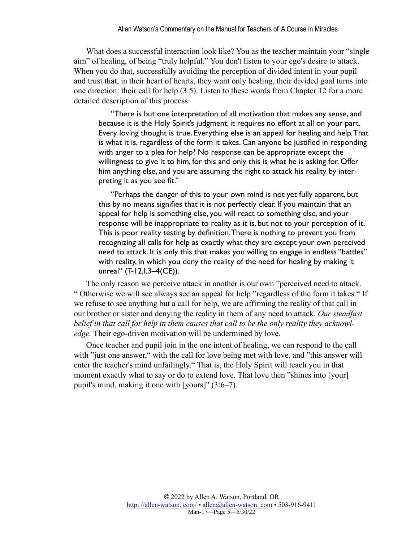What does a successful interaction look like? You as the teacher maintain your "single aim" of healing, of being "truly helpful." You don't listen to your ego's desire to attack. When you do that, successfully avoiding the perception of divided intent in your pupil and trust that, in their heart of hearts, they want only healing, their divided goal turns into one direction: their call for help (3:5). Listen to these words from Chapter 12 for a more detailed description of this process:

"There is but one interpretation of all motivation that makes any sense, and because it is the Holy Spirit's judgment, it requires no effort at all on your part. Every loving thought is true. Everything else is an appeal for healing and help. That is what it is, regardless of the form it takes. Can anyone be justified in responding with anger to a plea for help? No response can be appropriate except the willingness to give it to him, for this and only this is what he is asking for. Offer him anything else, and you are assuming the right to attack his reality by interpreting it as you see fit."

"Perhaps the danger of this to your own mind is not yet fully apparent, but this by no means signifies that it is not perfectly clear. If you maintain that an appeal for help is something else, you will react to something else, and your response will be inappropriate to reality as it is, but not to your perception of it. This is poor reality testing by definition. There is nothing to prevent you from recognizing all calls for help as exactly what they are except your own perceived need to attack. It is only this that makes you willing to engage in endless "battles" with reality, in which you deny the reality of the need for healing by making it unreal" (T-12.I.3–4(CE)).

The only reason we perceive attack in another is our own "perceived need to attack. " Otherwise we will see always see an appeal for help "regardless of the form it takes." If we refuse to see anything but a call for help, we are affirming the reality of that call in our brother or sister and denying the reality in them of any need to attack. *Our steadfast belief in that call for help in them causes that call to be the only reality they acknowledge.* Their ego-driven motivation will be undermined by love.

Once teacher and pupil join in the one intent of healing, we can respond to the call with "just one answer," with the call for love being met with love, and "this answer will enter the teacher's mind unfailingly." That is, the Holy Spirit will teach you in that moment exactly what to say or do to extend love. That love then "shines into [your] pupil's mind, making it one with [yours]" (3:6–7).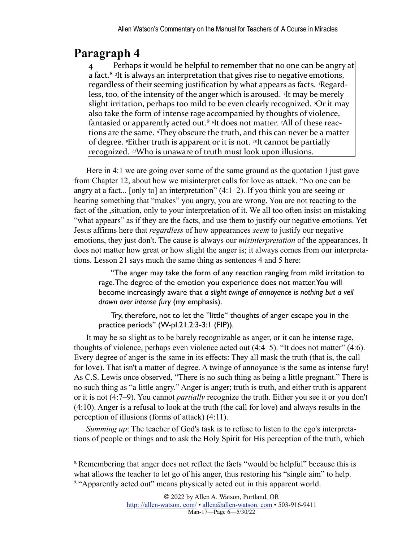## **Paragraph 4**

<span id="page-5-2"></span>Perhaps it would be helpful to remember that no one can be angry at a fact.<sup>8</sup> <sup>2</sup>It is always an interpretation that gives rise to negative emotions, regardless of their seeming justification by what appears as facts. <sup>3</sup>Regardless, too, of the intensity of the anger which is aroused. <sup>4</sup>It may be merely slight irritation, perhaps too mild to be even clearly recognized. <sup>*S*</sup>Or it may also take the form of intense rage accompanied by thoughts of violence, fantasied or apparently acted out.<sup>9</sup> <sup>*o*</sup>It does not matter. <sup>7</sup>All of these reactions are the same. <sup>*«*They obscure the truth, and this can never be a matter</sup> of degree. <sup>*PEither truth is apparent or it is not. <sup>10</sup>It cannot be partially</sup>* recognized. <sup>11</sup>Who is unaware of truth must look upon illusions.

<span id="page-5-3"></span>Here in 4:1 we are going over some of the same ground as the quotation I just gave from Chapter 12, about how we misinterpret calls for love as attack. "No one can be angry at a fact... [only to] an interpretation" (4:1–2). If you think you are seeing or hearing something that "makes" you angry, you are wrong. You are not reacting to the fact of the ,situation, only to your interpretation of it. We all too often insist on mistaking "what appears" as if they are the facts, and use them to justify our negative emotions. Yet Jesus affirms here that *regardless* of how appearances *seem* to justify our negative emotions, they just don't. The cause is always our *misinterpretation* of the appearances. It does not matter how great or how slight the anger is; it always comes from our interpretations. Lesson 21 says much the same thing as sentences 4 and 5 here:

"The anger may take the form of any reaction ranging from mild irritation to rage. The degree of the emotion you experience does not matter. You will become increasingly aware that *a slight twinge of annoyance is nothing but a veil drawn over intense fury* (my emphasis).

Try, therefore, not to let the "little" thoughts of anger escape you in the practice periods" (W-pI.21.2:3-3:1 (FIP)).

It may be so slight as to be barely recognizable as anger, or it can be intense rage, thoughts of violence, perhaps even violence acted out (4:4–5). "It does not matter" (4:6). Every degree of anger is the same in its effects: They all mask the truth (that is, the call for love). That isn't a matter of degree. A twinge of annoyance is the same as intense fury! As C.S. Lewis once observed, "There is no such thing as being a little pregnant." There is no such thing as "a little angry." Anger is anger; truth is truth, and either truth is apparent or it is not (4:7–9). You cannot *partially* recognize the truth. Either you see it or you don't (4:10). Anger is a refusal to look at the truth (the call for love) and always results in the perception of illusions (forms of attack) (4:11).

*Summing up*: The teacher of God's task is to refuse to listen to the ego's interpretations of people or things and to ask the Holy Spirit for His perception of the truth, which

<span id="page-5-1"></span><span id="page-5-0"></span><sup>[8.](#page-5-2)</sup> Remembering that anger does not reflect the facts "would be helpful" because this is what allows the teacher to let go of his anger, thus restoring his "single aim" to help. <sup>[9.](#page-5-3) "</sup>Apparently acted out" means physically acted out in this apparent world.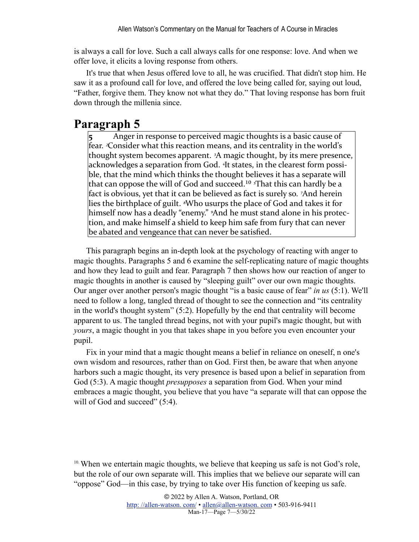is always a call for love. Such a call always calls for one response: love. And when we offer love, it elicits a loving response from others.

It's true that when Jesus offered love to all, he was crucified. That didn't stop him. He saw it as a profound call for love, and offered the love being called for, saying out loud, "Father, forgive them. They know not what they do." That loving response has born fruit down through the millenia since.

#### **Paragraph 5**

<span id="page-6-1"></span>Anger in response to perceived magic thoughts is a basic cause of fear. <sup>2</sup>Consider what this reaction means, and its centrality in the world's thought system becomes apparent. <sup>3</sup>A magic thought, by its mere presence, acknowledges a separation from God. <sup>4</sup>It states, in the clearest form possible, that the mind which thinks the thought believes it has a separate will that can oppose the will of God and succeed.<sup>10</sup> *<sup>5</sup>*That this can hardly be a fact is obvious, yet that it can be believed as fact is surely so. <sup>7</sup>And herein lies the birthplace of guilt. <sup>*§*</sup>Who usurps the place of God and takes it for himself now has a deadly "enemy." <sup>9</sup>And he must stand alone in his protection, and make himself a shield to keep him safe from fury that can never be abated and vengeance that can never be satisfied.

This paragraph begins an in-depth look at the psychology of reacting with anger to magic thoughts. Paragraphs 5 and 6 examine the self-replicating nature of magic thoughts and how they lead to guilt and fear. Paragraph 7 then shows how our reaction of anger to magic thoughts in another is caused by "sleeping guilt" over our own magic thoughts. Our anger over another person's magic thought "is a basic cause of fear" *in us* (5:1). We'll need to follow a long, tangled thread of thought to see the connection and "its centrality in the world's thought system" (5:2). Hopefully by the end that centrality will become apparent to us. The tangled thread begins, not with your pupil's magic thought, but with *yours*, a magic thought in you that takes shape in you before you even encounter your pupil.

Fix in your mind that a magic thought means a belief in reliance on oneself, n one's own wisdom and resources, rather than on God. First then, be aware that when anyone harbors such a magic thought, its very presence is based upon a belief in separation from God (5:3). A magic thought *presupposes* a separation from God. When your mind embraces a magic thought, you believe that you have "a separate will that can oppose the will of God and succeed" (5:4).

<span id="page-6-0"></span> $10$ . When we entertain magic thoughts, we believe that keeping us safe is not God's role, but the role of our own separate will. This implies that we believe our separate will can "oppose" God—in this case, by trying to take over His function of keeping us safe.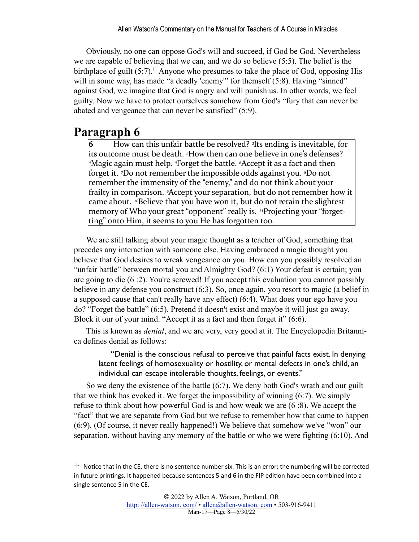<span id="page-7-1"></span>Obviously, no one can oppose God's will and succeed, if God be God. Nevertheless we are capable of believing that we can, and we do so believe (5:5). The belief is the birthplace of guilt  $(5:7)$ .<sup>11</sup> Anyone who presumes to take the place of God, opposing His will in some way, has made "a deadly 'enemy" for themself (5:8). Having "sinned" against God, we imagine that God is angry and will punish us. In other words, we feel guilty. Now we have to protect ourselves somehow from God's "fury that can never be abated and vengeance that can never be satisfied" (5:9).

#### **Paragraph 6**

**6** How can this unfair battle be resolved? <sup>2</sup>Its ending is inevitable, for its outcome must be death. <sup>3</sup>How then can one believe in one's defenses? <sup>4</sup>Magic again must help. <sup>5</sup>Forget the battle. <sup>5</sup>Accept it as a fact and then forget it. *7*Do not remember the impossible odds against you. *<sup>8</sup>Do* not remember the immensity of the "enemy," and do not think about your frailty in comparison. <sup>9</sup>Accept your separation, but do not remember how it came about. <sup>10</sup>Believe that you have won it, but do not retain the slightest memory of Who your great "opponent" really is. <sup>11</sup>Projecting your "forgetting" onto Him, it seems to you He has forgotten too.

We are still talking about your magic thought as a teacher of God, something that precedes any interaction with someone else. Having embraced a magic thought you believe that God desires to wreak vengeance on you. How can you possibly resolved an "unfair battle" between mortal you and Almighty God? (6:1) Your defeat is certain; you are going to die (6 :2). You're screwed! If you accept this evaluation you cannot possibly believe in any defense you construct (6:3). So, once again, you resort to magic (a belief in a supposed cause that can't really have any effect) (6:4). What does your ego have you do? "Forget the battle" (6:5). Pretend it doesn't exist and maybe it will just go away. Block it our of your mind. "Accept it as a fact and then forget it" (6:6).

This is known as *denial*, and we are very, very good at it. The Encyclopedia Britannica defines denial as follows:

"Denial is the conscious refusal to perceive that painful facts exist. In denying latent feelings of homosexuality or hostility, or mental defects in one's child, an individual can escape intolerable thoughts, feelings, or events."

So we deny the existence of the battle (6:7). We deny both God's wrath and our guilt that we think has evoked it. We forget the impossibility of winning (6:7). We simply refuse to think about how powerful God is and how weak we are (6 :8). We accept the "fact" that we are separate from God but we refuse to remember how that came to happen (6:9). (Of course, it never really happened!) We believe that somehow we've "won" our separation, without having any memory of the battle or who we were fighting (6:10). And

<span id="page-7-0"></span> $11.$  Notice that in the CE, there is no sentence number six. This is an error; the numbering will be corrected in future printings. It happened because sentences 5 and 6 in the FIP edition have been combined into a single sentence 5 in the CE.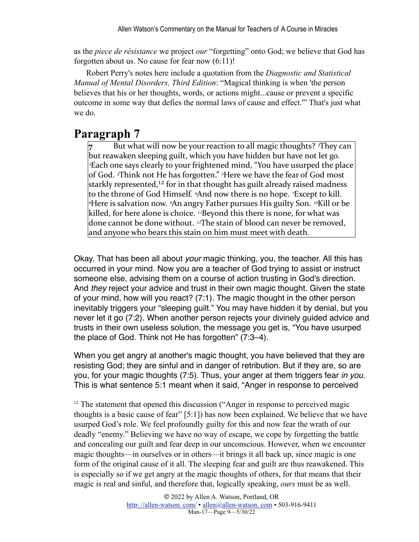as the *piece de résistance* we project *our* "forgetting" onto God; we believe that God has forgotten about us. No cause for fear now (6:11)!

Robert Perry's notes here include a quotation from the *Diagnostic and Statistical Manual of Mental Disorders, Third Edition*: "Magical thinking is when 'the person believes that his or her thoughts, words, or actions might...cause or prevent a specific outcome in some way that defies the normal laws of cause and effect.'" That's just what we do.

#### **Paragraph 7**

<span id="page-8-1"></span>But what will now be your reaction to all magic thoughts? <sup>2</sup>They can but reawaken sleeping guilt, which you have hidden but have not let go. *B*Each one says clearly to your frightened mind, "You have usurped the place of God. <sup>4</sup>Think not He has forgotten." <sup>5</sup>Here we have the fear of God most starkly represented,<sup>12</sup> for in that thought has guilt already raised madness to the throne of God Himself. <sup>*«*And now there is no hope. *<sup>7</sup>Except* to kill.</sup> <sup>*§*Here is salvation now. <sup>9</sup>An angry Father pursues His guilty Son. <sup>10</sup>Kill or be</sup> killed, for here alone is choice. <sup>11</sup>Beyond this there is none, for what was done cannot be done without. <sup>12</sup>The stain of blood can never be removed, and anyone who bears this stain on him must meet with death.

Okay. That has been all about *your* magic thinking, you, the teacher. All this has occurred in your mind. Now you are a teacher of God trying to assist or instruct someone else, advising them on a course of action trusting in God's direction. And *they* reject your advice and trust in their own magic thought. Given the state of your mind, how will you react? (7:1). The magic thought in the other person inevitably triggers your "sleeping guilt." You may have hidden it by denial, but you never let it go (7:2). When another person rejects your divinely guided advice and trusts in their own useless solution, the message you get is, "You have usurped the place of God. Think not He has forgotten" (7:3–4).

When you get angry at another's magic thought, you have believed that they are resisting God; they are sinful and in danger of retribution. But if they are, so are you, for your magic thoughts (7:5). Thus, your anger at them triggers fear *in you*. This is what sentence 5:1 meant when it said, "Anger in response to perceived

<span id="page-8-0"></span><sup>12.</sup> The statement that opened this discussion ("Anger in response to perceived magic thoughts is a basic cause of fear" [5:1]) has now been explained. We believe that we have usurped God's role. We feel profoundly guilty for this and now fear the wrath of our deadly "enemy." Believing we have no way of escape, we cope by forgetting the battle and concealing our guilt and fear deep in our unconscious. However, when we encounter magic thoughts—in ourselves or in others—it brings it all back up, since magic is one form of the original cause of it all. The sleeping fear and guilt are thus reawakened. This is especially so if we get angry at the magic thoughts of others, for that means that their magic is real and sinful, and therefore that, logically speaking, *ours* must be as well.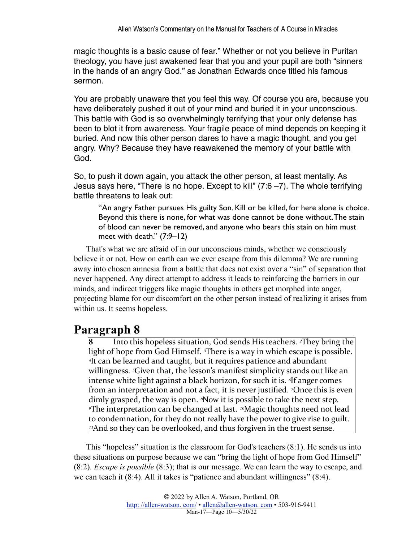magic thoughts is a basic cause of fear." Whether or not you believe in Puritan theology, you have just awakened fear that you and your pupil are both "sinners in the hands of an angry God." as Jonathan Edwards once titled his famous sermon.

You are probably unaware that you feel this way. Of course you are, because you have deliberately pushed it out of your mind and buried it in your unconscious. This battle with God is so overwhelmingly terrifying that your only defense has been to blot it from awareness. Your fragile peace of mind depends on keeping it buried. And now this other person dares to have a magic thought, and you get angry. Why? Because they have reawakened the memory of your battle with God.

So, to push it down again, you attack the other person, at least mentally. As Jesus says here, "There is no hope. Except to kill" (7:6 –7). The whole terrifying battle threatens to leak out:

"An angry Father pursues His guilty Son. Kill or be killed, for here alone is choice. Beyond this there is none, for what was done cannot be done without. The stain of blood can never be removed, and anyone who bears this stain on him must meet with death." (7:9–12)

That's what we are afraid of in our unconscious minds, whether we consciously believe it or not. How on earth can we ever escape from this dilemma? We are running away into chosen amnesia from a battle that does not exist over a "sin" of separation that never happened. Any direct attempt to address it leads to reinforcing the barriers in our minds, and indirect triggers like magic thoughts in others get morphed into anger, projecting blame for our discomfort on the other person instead of realizing it arises from within us. It seems hopeless.

#### **Paragraph 8**

Into this hopeless situation, God sends His teachers. <sup>2</sup>They bring the light of hope from God Himself. <sup>3</sup>There is a way in which escape is possible. *<sup>4</sup>It* can be learned and taught, but it requires patience and abundant willingness. <sup>*S*</sup>Given that, the lesson's manifest simplicity stands out like an intense white light against a black horizon, for such it is. <sup>*o*If</sup> anger comes from an interpretation and not a fact, it is never justified. <sup>7</sup>Once this is even dimly grasped, the way is open. <sup>*§*Now it is possible to take the next step.</sup> **<sup>∉The interpretation can be changed at last.** <sup>10</sup>Magic thoughts need not lead</sup> to condemnation, for they do not really have the power to give rise to guilt. <sup>11</sup>And so they can be overlooked, and thus forgiven in the truest sense.

This "hopeless" situation is the classroom for God's teachers (8:1). He sends us into these situations on purpose because we can "bring the light of hope from God Himself" (8:2). *Escape is possible* (8:3); that is our message. We can learn the way to escape, and we can teach it (8:4). All it takes is "patience and abundant willingness" (8:4).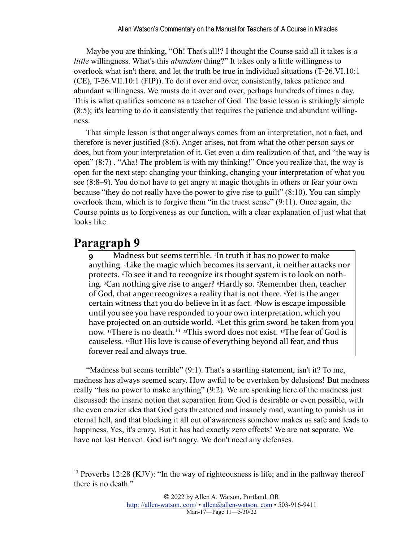Maybe you are thinking, "Oh! That's all!? I thought the Course said all it takes is *a little* willingness. What's this *abundant* thing?" It takes only a little willingness to overlook what isn't there, and let the truth be true in individual situations (T-26.VI.10:1 (CE), T-26.VII.10:1 (FIP)). To do it over and over, consistently, takes patience and abundant willingness. We musts do it over and over, perhaps hundreds of times a day. This is what qualifies someone as a teacher of God. The basic lesson is strikingly simple (8:5); it's learning to do it consistently that requires the patience and abundant willingness.

That simple lesson is that anger always comes from an interpretation, not a fact, and therefore is never justified (8:6). Anger arises, not from what the other person says or does, but from your interpretation of it. Get even a dim realization of that, and "the way is open" (8:7) . "Aha! The problem is with my thinking!" Once you realize that, the way is open for the next step: changing your thinking, changing your interpretation of what you see (8:8–9). You do not have to get angry at magic thoughts in others or fear your own because "they do not really have the power to give rise to guilt" (8:10). You can simply overlook them, which is to forgive them "in the truest sense" (9:11). Once again, the Course points us to forgiveness as our function, with a clear explanation of just what that looks like.

#### **Paragraph 9**

Madness but seems terrible. <sup>2</sup>In truth it has no power to make anything. <sup>3</sup>Like the magic which becomes its servant, it neither attacks nor protects. <sup>4</sup>To see it and to recognize its thought system is to look on nothing. <sup>*s*</sup>Can nothing give rise to anger? <sup>*«*Hardly so. *7*Remember then, teacher</sup> of God, that anger recognizes a reality that is not there. <sup>*§*Yet</sup> is the anger certain witness that you do believe in it as fact. <sup>*s*</sup>Now is escape impossible until you see you have responded to your own interpretation, which you have projected on an outside world. <sup>10</sup>Let this grim sword be taken from you now. <sup>11</sup>There is no death.<sup>13</sup> <sup>12</sup>This sword does not exist. <sup>13</sup>The fear of God is causeless. <sup>14</sup>But His love is cause of everything beyond all fear, and thus forever real and always true.

<span id="page-10-1"></span>"Madness but seems terrible" (9:1). That's a startling statement, isn't it? To me, madness has always seemed scary. How awful to be overtaken by delusions! But madness really "has no power to make anything" (9:2). We are speaking here of the madness just discussed: the insane notion that separation from God is desirable or even possible, with the even crazier idea that God gets threatened and insanely mad, wanting to punish us in eternal hell, and that blocking it all out of awareness somehow makes us safe and leads to happiness. Yes, it's crazy. But it has had exactly zero effects! We are not separate. We have not lost Heaven. God isn't angry. We don't need any defenses.

<span id="page-10-0"></span><sup>&</sup>lt;sup>13.</sup> Proverbs 12:28 (KJV): "In the way of righteousness is life; and in the pathway thereof there is no death."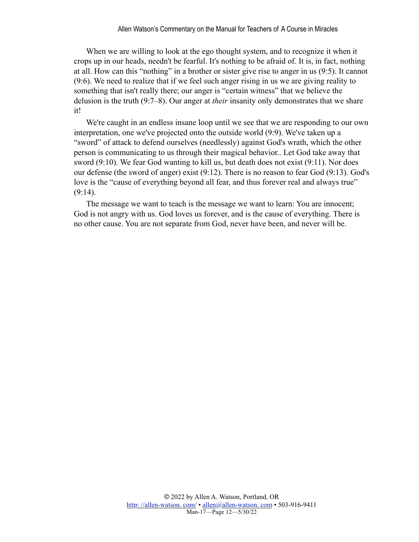When we are willing to look at the ego thought system, and to recognize it when it crops up in our heads, needn't be fearful. It's nothing to be afraid of. It is, in fact, nothing at all. How can this "nothing" in a brother or sister give rise to anger in us (9:5). It cannot (9:6). We need to realize that if we feel such anger rising in us we are giving reality to something that isn't really there; our anger is "certain witness" that we believe the delusion is the truth (9:7–8). Our anger at *their* insanity only demonstrates that we share it!

We're caught in an endless insane loop until we see that we are responding to our own interpretation, one we've projected onto the outside world (9:9). We've taken up a "sword" of attack to defend ourselves (needlessly) against God's wrath, which the other person is communicating to us through their magical behavior.. Let God take away that sword (9:10). We fear God wanting to kill us, but death does not exist (9:11). Nor does our defense (the sword of anger) exist (9:12). There is no reason to fear God (9:13). God's love is the "cause of everything beyond all fear, and thus forever real and always true"  $(9:14)$ .

The message we want to teach is the message we want to learn: You are innocent; God is not angry with us. God loves us forever, and is the cause of everything. There is no other cause. You are not separate from God, never have been, and never will be.